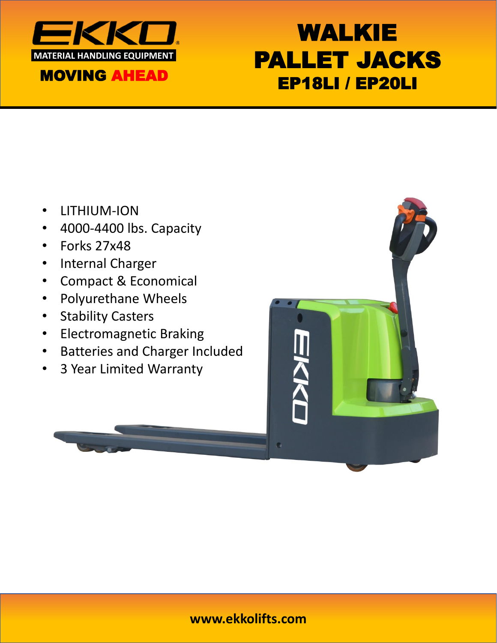

# WALKIE PALLET JACKS EP18LI / EP20LI

- LITHIUM-ION
- 4000-4400 lbs. Capacity
- Forks 27x48
- Internal Charger
- Compact & Economical
- Polyurethane Wheels
- Stability Casters
- Electromagnetic Braking
- Batteries and Charger Included
- 3 Year Limited Warranty



#### **www.ekkolifts.com**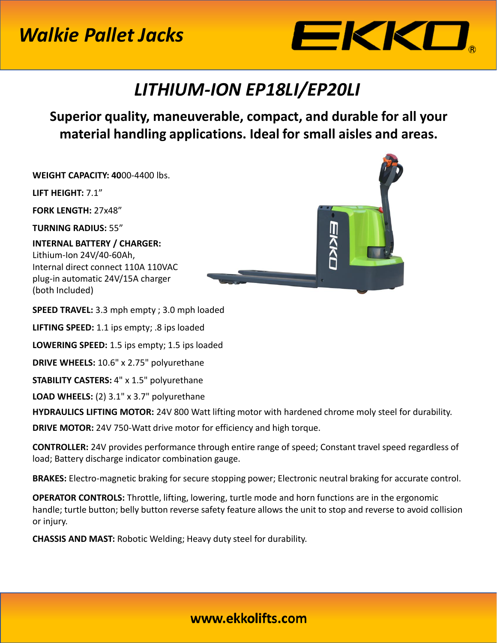## *Walkie Pallet Jacks*



### *LITHIUM-ION EP18LI/EP20LI*

**Superior quality, maneuverable, compact, and durable for all your material handling applications. Ideal for small aisles and areas.** 

**WEIGHT CAPACITY: 40**00-4400 lbs.

**LIFT HEIGHT:** 7.1"

**FORK LENGTH:** 27x48"

**TURNING RADIUS:** 55"

**INTERNAL BATTERY / CHARGER:**  Lithium-Ion 24V/40-60Ah, Internal direct connect 110A 110VAC plug-in automatic 24V/15A charger (both Included)



**SPEED TRAVEL:** 3.3 mph empty ; 3.0 mph loaded

**LIFTING SPEED:** 1.1 ips empty; .8 ips loaded

**LOWERING SPEED:** 1.5 ips empty; 1.5 ips loaded

**DRIVE WHEELS:** 10.6" x 2.75" polyurethane

**STABILITY CASTERS:** 4" x 1.5" polyurethane

**LOAD WHEELS:** (2) 3.1" x 3.7" polyurethane

**HYDRAULICS LIFTING MOTOR:** 24V 800 Watt lifting motor with hardened chrome moly steel for durability.

**DRIVE MOTOR:** 24V 750-Watt drive motor for efficiency and high torque.

**CONTROLLER:** 24V provides performance through entire range of speed; Constant travel speed regardless of load; Battery discharge indicator combination gauge.

**BRAKES:** Electro-magnetic braking for secure stopping power; Electronic neutral braking for accurate control.

**OPERATOR CONTROLS:** Throttle, lifting, lowering, turtle mode and horn functions are in the ergonomic handle; turtle button; belly button reverse safety feature allows the unit to stop and reverse to avoid collision or injury.

**CHASSIS AND MAST:** Robotic Welding; Heavy duty steel for durability.

#### www.ekkolifts.com